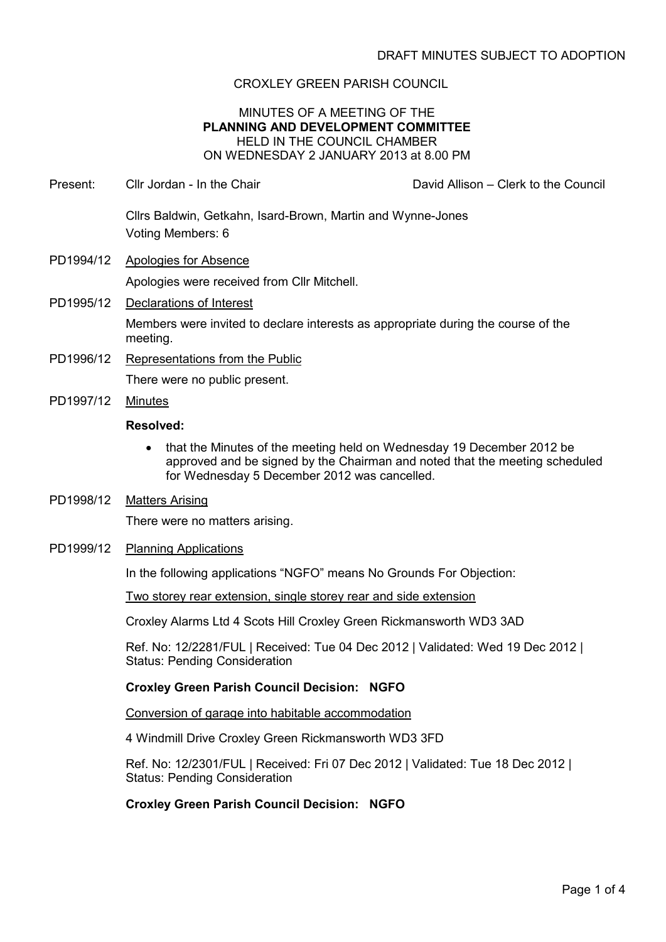# CROXLEY GREEN PARISH COUNCIL

# MINUTES OF A MEETING OF THE **PLANNING AND DEVELOPMENT COMMITTEE** HELD IN THE COUNCIL CHAMBER ON WEDNESDAY 2 JANUARY 2013 at 8.00 PM

Present: Cllr Jordan - In the Chair Chair David Allison – Clerk to the Council

Cllrs Baldwin, Getkahn, Isard-Brown, Martin and Wynne-Jones Voting Members: 6

- PD1994/12 Apologies for Absence Apologies were received from Cllr Mitchell.
- PD1995/12 Declarations of Interest Members were invited to declare interests as appropriate during the course of the meeting.
- PD1996/12 Representations from the Public There were no public present.
- PD1997/12 Minutes

### **Resolved:**

- that the Minutes of the meeting held on Wednesday 19 December 2012 be approved and be signed by the Chairman and noted that the meeting scheduled for Wednesday 5 December 2012 was cancelled.
- PD1998/12 Matters Arising

There were no matters arising.

### PD1999/12 Planning Applications

In the following applications "NGFO" means No Grounds For Objection:

Two storey rear extension, single storey rear and side extension

Croxley Alarms Ltd 4 Scots Hill Croxley Green Rickmansworth WD3 3AD

Ref. No: 12/2281/FUL | Received: Tue 04 Dec 2012 | Validated: Wed 19 Dec 2012 | Status: Pending Consideration

# **Croxley Green Parish Council Decision: NGFO**

Conversion of garage into habitable accommodation

4 Windmill Drive Croxley Green Rickmansworth WD3 3FD

Ref. No: 12/2301/FUL | Received: Fri 07 Dec 2012 | Validated: Tue 18 Dec 2012 | Status: Pending Consideration

### **Croxley Green Parish Council Decision: NGFO**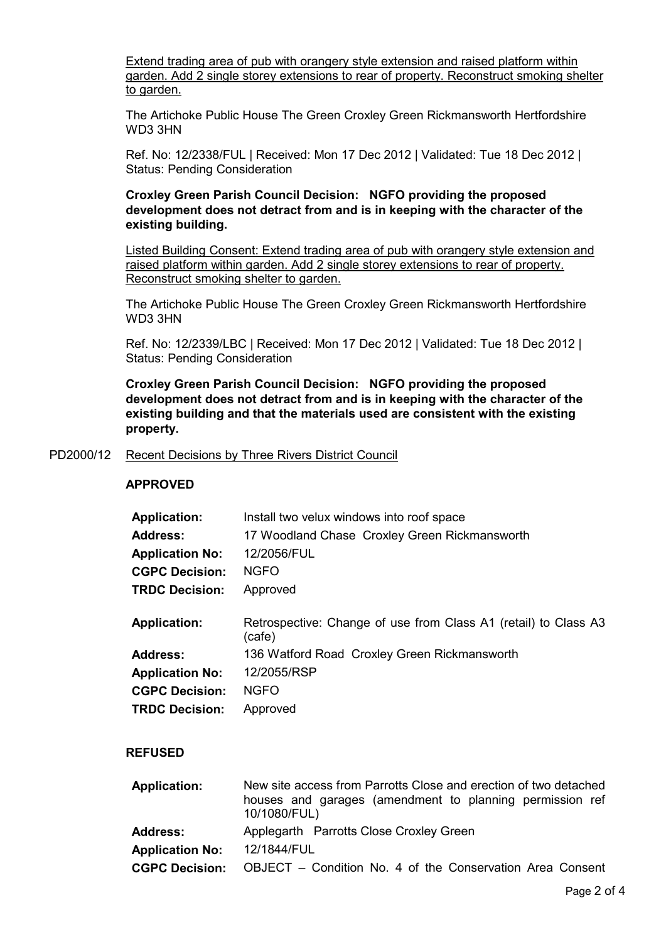Extend trading area of pub with orangery style extension and raised platform within garden. Add 2 single storey extensions to rear of property. Reconstruct smoking shelter to garden.

The Artichoke Public House The Green Croxley Green Rickmansworth Hertfordshire WD3 3HN

Ref. No: 12/2338/FUL | Received: Mon 17 Dec 2012 | Validated: Tue 18 Dec 2012 | Status: Pending Consideration

**Croxley Green Parish Council Decision: NGFO providing the proposed development does not detract from and is in keeping with the character of the existing building.**

Listed Building Consent: Extend trading area of pub with orangery style extension and raised platform within garden. Add 2 single storey extensions to rear of property. Reconstruct smoking shelter to garden.

The Artichoke Public House The Green Croxley Green Rickmansworth Hertfordshire WD3 3HN

Ref. No: 12/2339/LBC | Received: Mon 17 Dec 2012 | Validated: Tue 18 Dec 2012 | Status: Pending Consideration

**Croxley Green Parish Council Decision: NGFO providing the proposed development does not detract from and is in keeping with the character of the existing building and that the materials used are consistent with the existing property.**

#### PD2000/12 Recent Decisions by Three Rivers District Council

#### **APPROVED**

| <b>Application:</b>    | Install two velux windows into roof space                                                                                                    |
|------------------------|----------------------------------------------------------------------------------------------------------------------------------------------|
| <b>Address:</b>        | 17 Woodland Chase Croxley Green Rickmansworth                                                                                                |
| <b>Application No:</b> | 12/2056/FUL                                                                                                                                  |
| <b>CGPC Decision:</b>  | <b>NGFO</b>                                                                                                                                  |
| <b>TRDC Decision:</b>  | Approved                                                                                                                                     |
| <b>Application:</b>    | Retrospective: Change of use from Class A1 (retail) to Class A3<br>(cafe)                                                                    |
| <b>Address:</b>        | 136 Watford Road Croxley Green Rickmansworth                                                                                                 |
| <b>Application No:</b> | 12/2055/RSP                                                                                                                                  |
| <b>CGPC Decision:</b>  | <b>NGFO</b>                                                                                                                                  |
| <b>TRDC Decision:</b>  | Approved                                                                                                                                     |
| <b>REFUSED</b>         |                                                                                                                                              |
| <b>Application:</b>    | New site access from Parrotts Close and erection of two detached<br>houses and garages (amendment to planning permission ref<br>10/1080/FUL) |
| <b>Address:</b>        | Applegarth Parrotts Close Croxley Green                                                                                                      |

**Application No:** 12/1844/FUL

**CGPC Decision:** OBJECT – Condition No. 4 of the Conservation Area Consent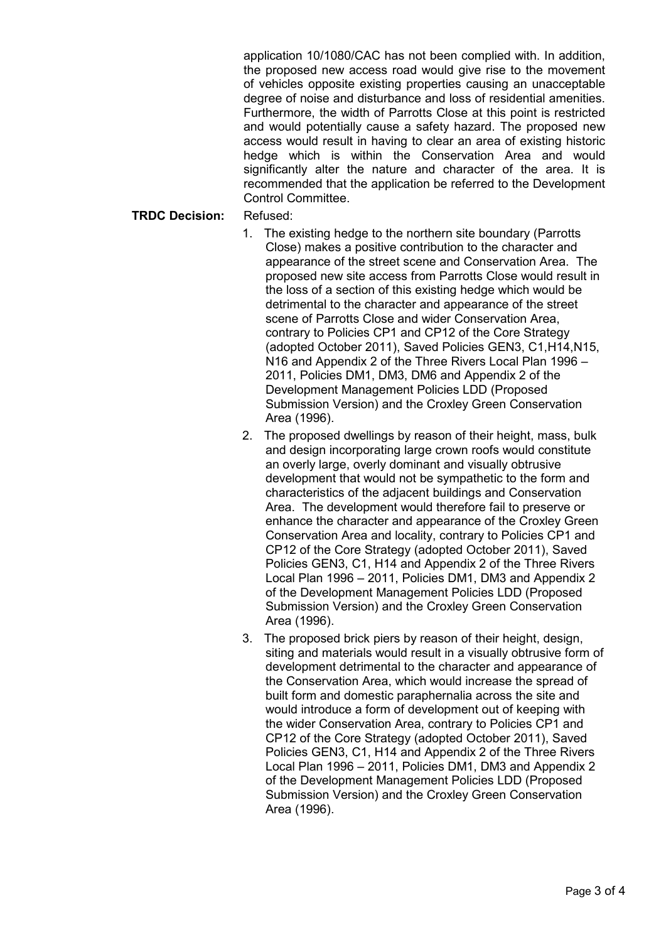application 10/1080/CAC has not been complied with. In addition, the proposed new access road would give rise to the movement of vehicles opposite existing properties causing an unacceptable degree of noise and disturbance and loss of residential amenities. Furthermore, the width of Parrotts Close at this point is restricted and would potentially cause a safety hazard. The proposed new access would result in having to clear an area of existing historic hedge which is within the Conservation Area and would significantly alter the nature and character of the area. It is recommended that the application be referred to the Development Control Committee.

### **TRDC Decision:** Refused:

- 1. The existing hedge to the northern site boundary (Parrotts Close) makes a positive contribution to the character and appearance of the street scene and Conservation Area. The proposed new site access from Parrotts Close would result in the loss of a section of this existing hedge which would be detrimental to the character and appearance of the street scene of Parrotts Close and wider Conservation Area, contrary to Policies CP1 and CP12 of the Core Strategy (adopted October 2011), Saved Policies GEN3, C1,H14,N15, N16 and Appendix 2 of the Three Rivers Local Plan 1996 – 2011, Policies DM1, DM3, DM6 and Appendix 2 of the Development Management Policies LDD (Proposed Submission Version) and the Croxley Green Conservation Area (1996).
- 2. The proposed dwellings by reason of their height, mass, bulk and design incorporating large crown roofs would constitute an overly large, overly dominant and visually obtrusive development that would not be sympathetic to the form and characteristics of the adjacent buildings and Conservation Area. The development would therefore fail to preserve or enhance the character and appearance of the Croxley Green Conservation Area and locality, contrary to Policies CP1 and CP12 of the Core Strategy (adopted October 2011), Saved Policies GEN3, C1, H14 and Appendix 2 of the Three Rivers Local Plan 1996 – 2011, Policies DM1, DM3 and Appendix 2 of the Development Management Policies LDD (Proposed Submission Version) and the Croxley Green Conservation Area (1996).
- 3. The proposed brick piers by reason of their height, design, siting and materials would result in a visually obtrusive form of development detrimental to the character and appearance of the Conservation Area, which would increase the spread of built form and domestic paraphernalia across the site and would introduce a form of development out of keeping with the wider Conservation Area, contrary to Policies CP1 and CP12 of the Core Strategy (adopted October 2011), Saved Policies GEN3, C1, H14 and Appendix 2 of the Three Rivers Local Plan 1996 – 2011, Policies DM1, DM3 and Appendix 2 of the Development Management Policies LDD (Proposed Submission Version) and the Croxley Green Conservation Area (1996).